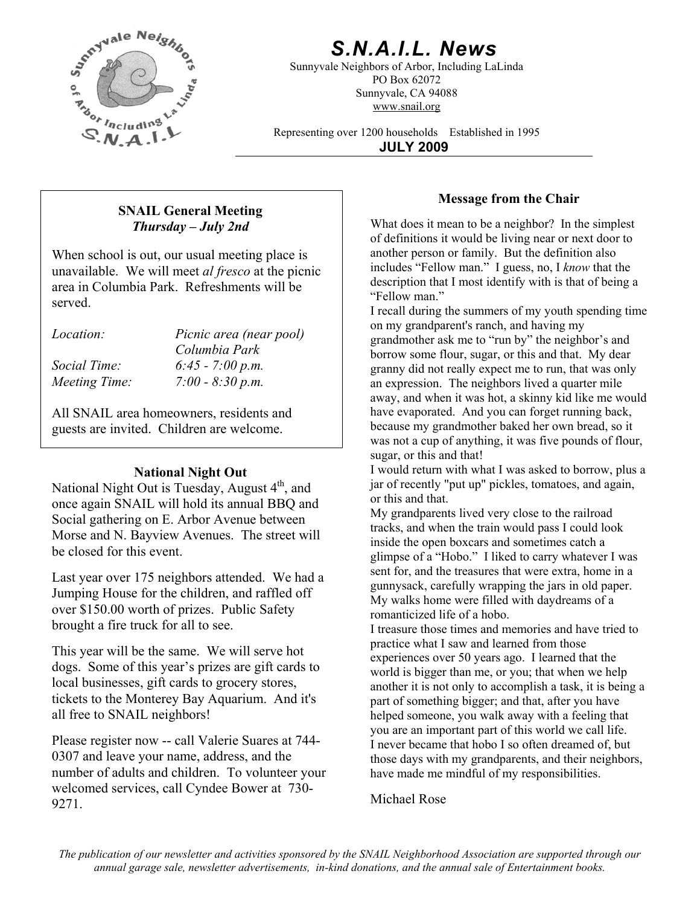

# *S.N.A.I.L. News*

Sunnyvale Neighbors of Arbor, Including LaLinda PO Box 62072 Sunnyvale, CA 94088 www.snail.org

Representing over 1200 households Established in 1995

**JULY 2009**

## **Message from the Chair SNAIL General Meeting**  *Thursday – July 2nd*

When school is out, our usual meeting place is unavailable. We will meet *al fresco* at the picnic area in Columbia Park. Refreshments will be served.

| <i>Location:</i> | Picnic area (near pool) |
|------------------|-------------------------|
|                  | Columbia Park           |
| Social Time:     | $6:45 - 7:00 p.m.$      |
| Meeting Time:    | $7:00 - 8:30 p.m.$      |

All SNAIL area homeowners, residents and guests are invited. Children are welcome.

## **National Night Out**

National Night Out is Tuesday, August  $4<sup>th</sup>$ , and once again SNAIL will hold its annual BBQ and Social gathering on E. Arbor Avenue between Morse and N. Bayview Avenues. The street will be closed for this event.

Last year over 175 neighbors attended. We had a Jumping House for the children, and raffled off over \$150.00 worth of prizes. Public Safety brought a fire truck for all to see.<br>I treasure those times and memories and have tried to

This year will be the same. We will serve hot dogs. Some of this year's prizes are gift cards to local businesses, gift cards to grocery stores, tickets to the Monterey Bay Aquarium. And it's all free to SNAIL neighbors!

Please register now -- call Valerie Suares at 744- 0307 and leave your name, address, and the number of adults and children. To volunteer your welcomed services, call Cyndee Bower at 730- 9271.

What does it mean to be a neighbor? In the simplest of definitions it would be living near or next door to another person or family. But the definition also includes "Fellow man." I guess, no, I *know* that the description that I most identify with is that of being a "Fellow man."

I recall during the summers of my youth spending time on my grandparent's ranch, and having my grandmother ask me to "run by" the neighbor's and borrow some flour, sugar, or this and that. My dear granny did not really expect me to run, that was only an expression. The neighbors lived a quarter mile away, and when it was hot, a skinny kid like me would have evaporated. And you can forget running back, because my grandmother baked her own bread, so it was not a cup of anything, it was five pounds of flour, sugar, or this and that!

I would return with what I was asked to borrow, plus a jar of recently "put up" pickles, tomatoes, and again, or this and that.

My grandparents lived very close to the railroad tracks, and when the train would pass I could look inside the open boxcars and sometimes catch a glimpse of a "Hobo." I liked to carry whatever I was sent for, and the treasures that were extra, home in a gunnysack, carefully wrapping the jars in old paper. My walks home were filled with daydreams of a romanticized life of a hobo.

practice what I saw and learned from those experiences over 50 years ago. I learned that the world is bigger than me, or you; that when we help another it is not only to accomplish a task, it is being a part of something bigger; and that, after you have helped someone, you walk away with a feeling that you are an important part of this world we call life. I never became that hobo I so often dreamed of, but those days with my grandparents, and their neighbors, have made me mindful of my responsibilities.

## Michael Rose

*The publication of our newsletter and activities sponsored by the SNAIL Neighborhood Association are supported through our annual garage sale, newsletter advertisements, in-kind donations, and the annual sale of Entertainment books.*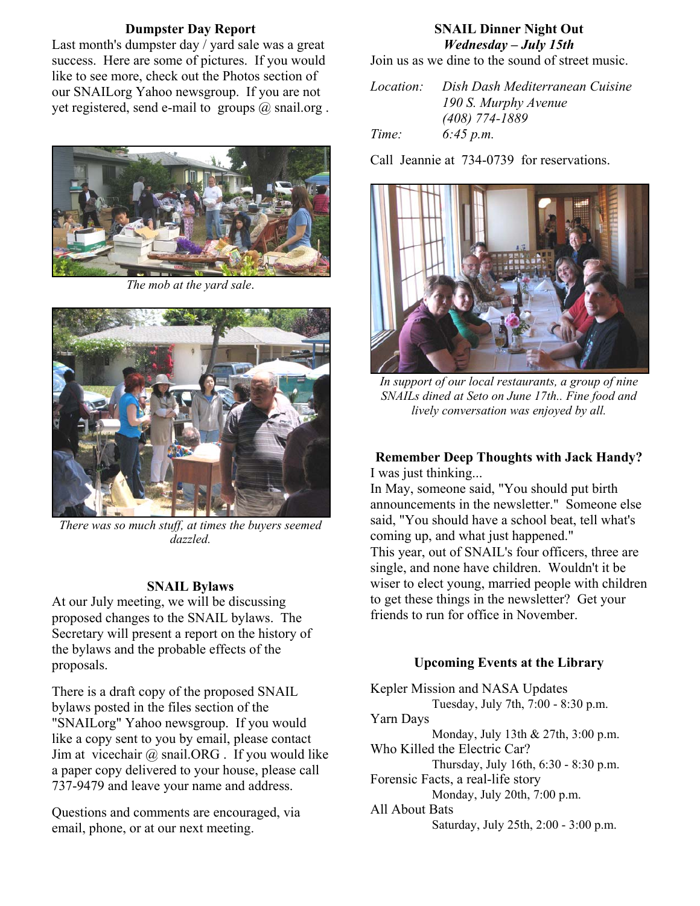## **Dumpster Day Report**

Last month's dumpster day / yard sale was a great success. Here are some of pictures. If you would like to see more, check out the Photos section of our SNAILorg Yahoo newsgroup. If you are not yet registered, send e-mail to groups  $(a)$  snail.org.



*The mob at the yard sale*.



There was so much stuff, at times the buyers seemed<br>"*dazzled* coming up, and what just happened." *dazzled.* 

## **SNAIL Bylaws**

At our July meeting, we will be discussing proposed changes to the SNAIL bylaws. The Secretary will present a report on the history of the bylaws and the probable effects of the proposals. **Upcoming Events at the Library** 

There is a draft copy of the proposed SNAIL<br>hylaws nosted in the files section of the Tuesday, July 7th, 7:00 - 8:30 p.m. bylaws posted in the files section of the "SNAILorg" Yahoo newsgroup. If you would like a copy sent to you by email, please contact Jim at vicechair  $\omega$  snail.ORG . If you would like a paper copy delivered to your house, please call 737-9479 and leave your name and address.

email, phone, or at our next meeting.

## **SNAIL Dinner Night Out**  *Wednesday – July 15th*

Join us as we dine to the sound of street music.

*Location: Dish Dash Mediterranean Cuisine 190 S. Murphy Avenue (408) 774-1889 Time: 6:45 p.m.* 

Call Jeannie at 734-0739 for reservations.



*In support of our local restaurants, a group of nine SNAILs dined at Seto on June 17th.. Fine food and lively conversation was enjoyed by all.* 

### **Remember Deep Thoughts with Jack Handy?**  I was just thinking...

In May, someone said, "You should put birth announcements in the newsletter." Someone else said, "You should have a school beat, tell what's This year, out of SNAIL's four officers, three are single, and none have children. Wouldn't it be wiser to elect young, married people with children to get these things in the newsletter? Get your friends to run for office in November.

Kepler Mission and NASA Updates Yarn Days Monday, July 13th & 27th, 3:00 p.m. Who Killed the Electric Car? Thursday, July 16th, 6:30 - 8:30 p.m. Forensic Facts, a real-life story Monday, July 20th, 7:00 p.m. Questions and comments are encouraged, via All About Bats<br>
All About Bats<br>
Saturday, July 25th, 2:00 - 3:00 p.m.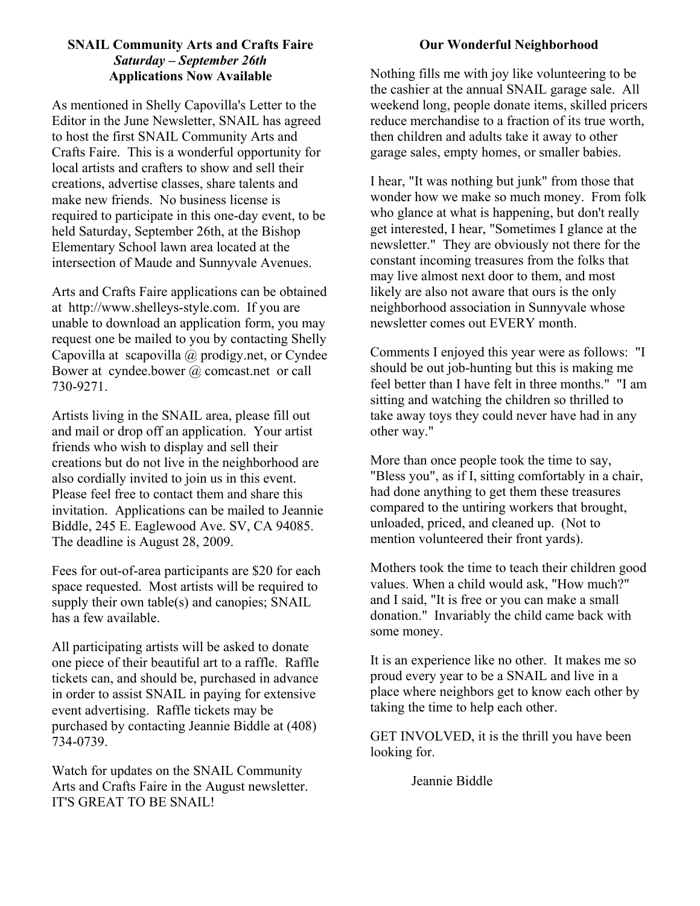# **SNAIL Community Arts and Crafts Faire Community Arts and Crafts Faire Community Arts and Crafts Faire Community Arts and Crafts Faire Community Arts and Crafts Faire Community Arts and Crafts Faire Community Arts and Craf** *Saturday – September 26th*

As mentioned in Shelly Capovilla's Letter to the Editor in the June Newsletter, SNAIL has agreed to host the first SNAIL Community Arts and Crafts Faire. This is a wonderful opportunity for local artists and crafters to show and sell their creations, advertise classes, share talents and make new friends. No business license is required to participate in this one-day event, to be held Saturday, September 26th, at the Bishop Elementary School lawn area located at the intersection of Maude and Sunnyvale Avenues.

Arts and Crafts Faire applications can be obtained at http://www.shelleys-style.com. If you are unable to download an application form, you may request one be mailed to you by contacting Shelly Capovilla at scapovilla @ prodigy.net, or Cyndee Bower at cyndee.bower @ comcast.net or call 730-9271.

Artists living in the SNAIL area, please fill out and mail or drop off an application. Your artist friends who wish to display and sell their creations but do not live in the neighborhood are also cordially invited to join us in this event. Please feel free to contact them and share this invitation. Applications can be mailed to Jeannie Biddle, 245 E. Eaglewood Ave. SV, CA 94085. The deadline is August 28, 2009.

Fees for out-of-area participants are \$20 for each space requested. Most artists will be required to supply their own table(s) and canopies; SNAIL has a few available.

All participating artists will be asked to donate one piece of their beautiful art to a raffle. Raffle tickets can, and should be, purchased in advance in order to assist SNAIL in paying for extensive event advertising. Raffle tickets may be purchased by contacting Jeannie Biddle at (408) 734-0739.

Watch for updates on the SNAIL Community Arts and Crafts Faire in the August newsletter. IT'S GREAT TO BE SNAIL!

Applications Now Available **Nothing fills me with joy like volunteering to be** the cashier at the annual SNAIL garage sale. All weekend long, people donate items, skilled pricers reduce merchandise to a fraction of its true worth, then children and adults take it away to other garage sales, empty homes, or smaller babies.

> I hear, "It was nothing but junk" from those that wonder how we make so much money. From folk who glance at what is happening, but don't really get interested, I hear, "Sometimes I glance at the newsletter." They are obviously not there for the constant incoming treasures from the folks that may live almost next door to them, and most likely are also not aware that ours is the only neighborhood association in Sunnyvale whose newsletter comes out EVERY month.

> Comments I enjoyed this year were as follows: "I should be out job-hunting but this is making me feel better than I have felt in three months." "I am sitting and watching the children so thrilled to take away toys they could never have had in any other way."

More than once people took the time to say, "Bless you", as if I, sitting comfortably in a chair, had done anything to get them these treasures compared to the untiring workers that brought, unloaded, priced, and cleaned up. (Not to mention volunteered their front yards).

Mothers took the time to teach their children good values. When a child would ask, "How much?" and I said, "It is free or you can make a small donation." Invariably the child came back with some money.

It is an experience like no other. It makes me so proud every year to be a SNAIL and live in a place where neighbors get to know each other by taking the time to help each other.

GET INVOLVED, it is the thrill you have been looking for.

Jeannie Biddle